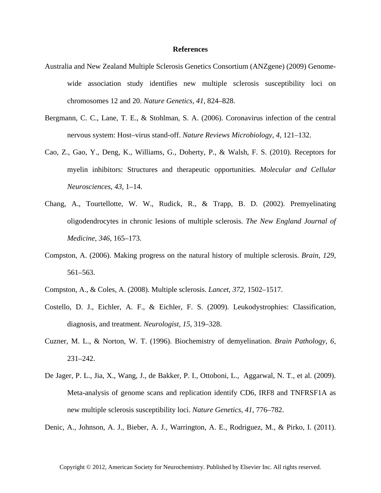## **References**

- Australia and New Zealand Multiple Sclerosis Genetics Consortium (ANZgene) (2009) Genomewide association study identifies new multiple sclerosis susceptibility loci on chromosomes 12 and 20. *Nature Genetics*, *41*, 824–828.
- Bergmann, C. C., Lane, T. E., & Stohlman, S. A. (2006). Coronavirus infection of the central nervous system: Host–virus stand-off. *Nature Reviews Microbiology*, *4*, 121–132.
- Cao, Z., Gao, Y., Deng, K., Williams, G., Doherty, P., & Walsh, F. S. (2010). Receptors for myelin inhibitors: Structures and therapeutic opportunities. *Molecular and Cellular Neurosciences*, *43*, 1–14.
- Chang, A., Tourtellotte, W. W., Rudick, R., & Trapp, B. D. (2002). Premyelinating oligodendrocytes in chronic lesions of multiple sclerosis. *The New England Journal of Medicine*, *346*, 165–173.
- Compston, A. (2006). Making progress on the natural history of multiple sclerosis. *Brain*, *129*, 561–563.
- Compston, A., & Coles, A. (2008). Multiple sclerosis. *Lancet*, *372*, 1502–1517.
- Costello, D. J., Eichler, A. F., & Eichler, F. S. (2009). Leukodystrophies: Classification, diagnosis, and treatment. *Neurologist*, *15*, 319–328.
- Cuzner, M. L., & Norton, W. T. (1996). Biochemistry of demyelination. *Brain Pathology*, *6*, 231–242.
- De Jager, P. L., Jia, X., Wang, J., de Bakker, P. I., Ottoboni, L., Aggarwal, N. T., et al. (2009). Meta-analysis of genome scans and replication identify CD6, IRF8 and TNFRSF1A as new multiple sclerosis susceptibility loci. *Nature Genetics*, *41*, 776–782.

Denic, A., Johnson, A. J., Bieber, A. J., Warrington, A. E., Rodriguez, M., & Pirko, I. (2011).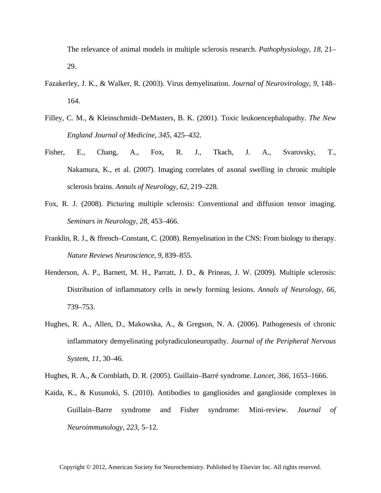The relevance of animal models in multiple sclerosis research. *Pathophysiology*, *18*, 21– 29.

- Fazakerley, J. K., & Walker, R. (2003). Virus demyelination. *Journal of Neurovirology*, *9*, 148– 164.
- Filley, C. M., & Kleinschmidt–DeMasters, B. K. (2001). Toxic leukoencephalopathy. *The New England Journal of Medicine*, *345*, 425–432.
- Fisher, E., Chang, A., Fox, R. J., Tkach, J. A., Svarovsky, T., Nakamura, K., et al. (2007). Imaging correlates of axonal swelling in chronic multiple sclerosis brains. *Annals of Neurology*, *62*, 219–228.
- Fox, R. J. (2008). Picturing multiple sclerosis: Conventional and diffusion tensor imaging. *Seminars in Neurology*, *28*, 453–466.
- Franklin, R. J., & ffrench–Constant, C. (2008). Remyelination in the CNS: From biology to therapy. *Nature Reviews Neuroscience*, *9*, 839–855.
- Henderson, A. P., Barnett, M. H., Parratt, J. D., & Prineas, J. W. (2009). Multiple sclerosis: Distribution of inflammatory cells in newly forming lesions. *Annals of Neurology*, *66*, 739–753.
- Hughes, R. A., Allen, D., Makowska, A., & Gregson, N. A. (2006). Pathogenesis of chronic inflammatory demyelinating polyradiculoneuropathy. *Journal of the Peripheral Nervous System*, *11*, 30–46.
- Hughes, R. A., & Cornblath, D. R. (2005). Guillain–Barré syndrome. *Lancet*, *366*, 1653–1666.
- Kaida, K., & Kusunoki, S. (2010). Antibodies to gangliosides and ganglioside complexes in Guillain–Barre syndrome and Fisher syndrome: Mini-review. *Journal of Neuroimmunology*, *223*, 5–12.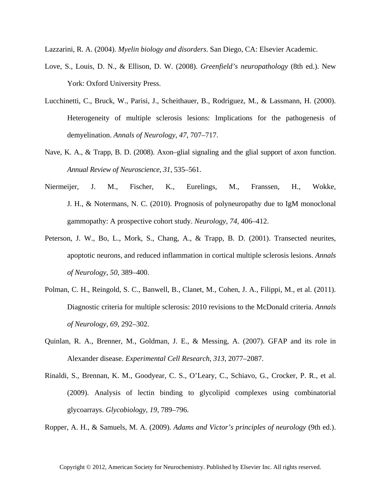Lazzarini, R. A. (2004). *Myelin biology and disorders*. San Diego, CA: Elsevier Academic.

- Love, S., Louis, D. N., & Ellison, D. W. (2008). *Greenfield's neuropathology* (8th ed.). New York: Oxford University Press.
- Lucchinetti, C., Bruck, W., Parisi, J., Scheithauer, B., Rodriguez, M., & Lassmann, H. (2000). Heterogeneity of multiple sclerosis lesions: Implications for the pathogenesis of demyelination. *Annals of Neurology*, *47*, 707–717.
- Nave, K. A., & Trapp, B. D. (2008). Axon–glial signaling and the glial support of axon function. *Annual Review of Neuroscience*, *31*, 535–561.
- Niermeijer, J. M., Fischer, K., Eurelings, M., Franssen, H., Wokke, J. H., & Notermans, N. C. (2010). Prognosis of polyneuropathy due to IgM monoclonal gammopathy: A prospective cohort study. *Neurology*, *74*, 406–412.
- Peterson, J. W., Bo, L., Mork, S., Chang, A., & Trapp, B. D. (2001). Transected neurites, apoptotic neurons, and reduced inflammation in cortical multiple sclerosis lesions. *Annals of Neurology*, *50*, 389–400.
- Polman, C. H., Reingold, S. C., Banwell, B., Clanet, M., Cohen, J. A., Filippi, M., et al. (2011). Diagnostic criteria for multiple sclerosis: 2010 revisions to the McDonald criteria. *Annals of Neurology*, *69*, 292–302.
- Quinlan, R. A., Brenner, M., Goldman, J. E., & Messing, A. (2007). GFAP and its role in Alexander disease. *Experimental Cell Research*, *313*, 2077–2087.
- Rinaldi, S., Brennan, K. M., Goodyear, C. S., O'Leary, C., Schiavo, G., Crocker, P. R., et al. (2009). Analysis of lectin binding to glycolipid complexes using combinatorial glycoarrays. *Glycobiology*, *19*, 789–796.

Ropper, A. H., & Samuels, M. A. (2009). *Adams and Victor's principles of neurology* (9th ed.).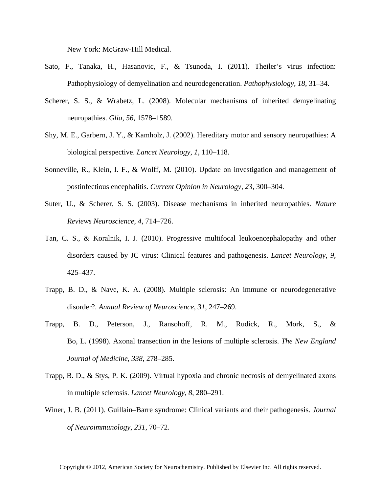New York: McGraw-Hill Medical.

- Sato, F., Tanaka, H., Hasanovic, F., & Tsunoda, I. (2011). Theiler's virus infection: Pathophysiology of demyelination and neurodegeneration. *Pathophysiology*, *18*, 31–34.
- Scherer, S. S., & Wrabetz, L. (2008). Molecular mechanisms of inherited demyelinating neuropathies. *Glia*, *56*, 1578–1589.
- Shy, M. E., Garbern, J. Y., & Kamholz, J. (2002). Hereditary motor and sensory neuropathies: A biological perspective. *Lancet Neurology*, *1*, 110–118.
- Sonneville, R., Klein, I. F., & Wolff, M. (2010). Update on investigation and management of postinfectious encephalitis. *Current Opinion in Neurology*, *23*, 300–304.
- Suter, U., & Scherer, S. S. (2003). Disease mechanisms in inherited neuropathies. *Nature Reviews Neuroscience*, *4*, 714–726.
- Tan, C. S., & Koralnik, I. J. (2010). Progressive multifocal leukoencephalopathy and other disorders caused by JC virus: Clinical features and pathogenesis. *Lancet Neurology*, *9*, 425–437.
- Trapp, B. D., & Nave, K. A. (2008). Multiple sclerosis: An immune or neurodegenerative disorder?. *Annual Review of Neuroscience*, *31*, 247–269.
- Trapp, B. D., Peterson, J., Ransohoff, R. M., Rudick, R., Mork, S., & Bo, L. (1998). Axonal transection in the lesions of multiple sclerosis. *The New England Journal of Medicine*, *338*, 278–285.
- Trapp, B. D., & Stys, P. K. (2009). Virtual hypoxia and chronic necrosis of demyelinated axons in multiple sclerosis. *Lancet Neurology*, *8*, 280–291.
- Winer, J. B. (2011). Guillain–Barre syndrome: Clinical variants and their pathogenesis. *Journal of Neuroimmunology*, *231*, 70–72.